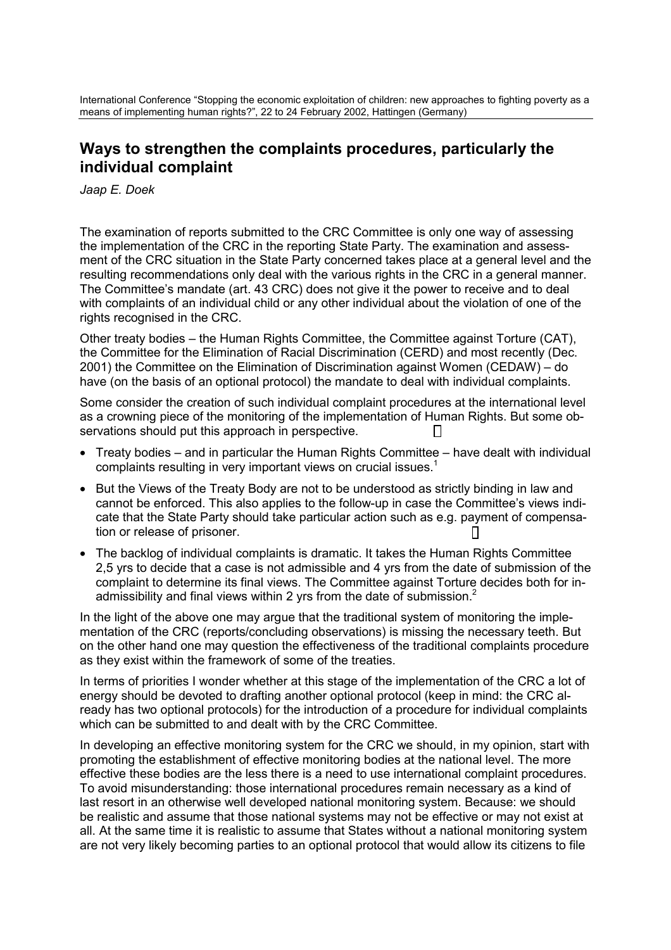International Conference "Stopping the economic exploitation of children: new approaches to fighting poverty as a means of implementing human rights?", 22 to 24 February 2002, Hattingen (Germany)

# **Ways to strengthen the complaints procedures, particularly the individual complaint**

*Jaap E. Doek* 

The examination of reports submitted to the CRC Committee is only one way of assessing the implementation of the CRC in the reporting State Party. The examination and assessment of the CRC situation in the State Party concerned takes place at a general level and the resulting recommendations only deal with the various rights in the CRC in a general manner. The Committee's mandate (art. 43 CRC) does not give it the power to receive and to deal with complaints of an individual child or any other individual about the violation of one of the rights recognised in the CRC.

Other treaty bodies – the Human Rights Committee, the Committee against Torture (CAT), the Committee for the Elimination of Racial Discrimination (CERD) and most recently (Dec. 2001) the Committee on the Elimination of Discrimination against Women (CEDAW) – do have (on the basis of an optional protocol) the mandate to deal with individual complaints.

Some consider the creation of such individual complaint procedures at the international level as a crowning piece of the monitoring of the implementation of Human Rights. But some observations should put this approach in perspective.

- Treaty bodies and in particular the Human Rights Committee have dealt with individual complaints resulting in very important views on crucial issues.<sup>1</sup>
- But the Views of the Treaty Body are not to be understood as strictly binding in law and cannot be enforced. This also applies to the follow-up in case the Committee's views indicate that the State Party should take particular action such as e.g. payment of compensation or release of prisoner.
- The backlog of individual complaints is dramatic. It takes the Human Rights Committee 2,5 yrs to decide that a case is not admissible and 4 yrs from the date of submission of the complaint to determine its final views. The Committee against Torture decides both for inadmissibility and final views within 2 yrs from the date of submission. $\frac{2}{3}$

In the light of the above one may argue that the traditional system of monitoring the implementation of the CRC (reports/concluding observations) is missing the necessary teeth. But on the other hand one may question the effectiveness of the traditional complaints procedure as they exist within the framework of some of the treaties.

In terms of priorities I wonder whether at this stage of the implementation of the CRC a lot of energy should be devoted to drafting another optional protocol (keep in mind: the CRC already has two optional protocols) for the introduction of a procedure for individual complaints which can be submitted to and dealt with by the CRC Committee.

In developing an effective monitoring system for the CRC we should, in my opinion, start with promoting the establishment of effective monitoring bodies at the national level. The more effective these bodies are the less there is a need to use international complaint procedures. To avoid misunderstanding: those international procedures remain necessary as a kind of last resort in an otherwise well developed national monitoring system. Because: we should be realistic and assume that those national systems may not be effective or may not exist at all. At the same time it is realistic to assume that States without a national monitoring system are not very likely becoming parties to an optional protocol that would allow its citizens to file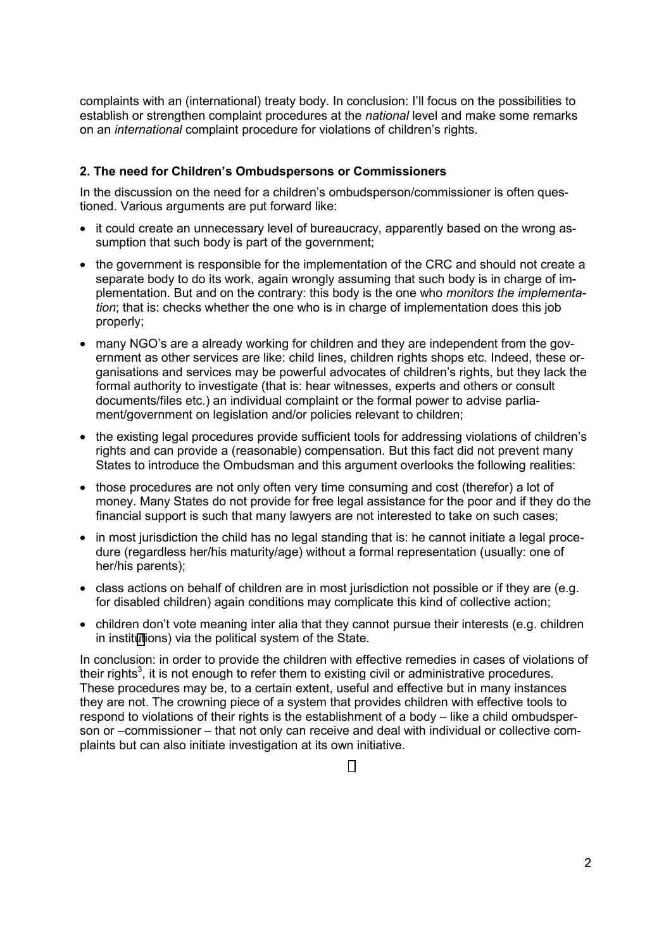complaints with an (international) treaty body. In conclusion: I'll focus on the possibilities to establish or strengthen complaint procedures at the *national* level and make some remarks on an *international* complaint procedure for violations of children's rights.

# **2. The need for Children's Ombudspersons or Commissioners**

In the discussion on the need for a children's ombudsperson/commissioner is often questioned. Various arguments are put forward like:

- it could create an unnecessary level of bureaucracy, apparently based on the wrong assumption that such body is part of the government;
- the government is responsible for the implementation of the CRC and should not create a separate body to do its work, again wrongly assuming that such body is in charge of implementation. But and on the contrary: this body is the one who *monitors the implementation*; that is: checks whether the one who is in charge of implementation does this job properly;
- many NGO's are a already working for children and they are independent from the government as other services are like: child lines, children rights shops etc. Indeed, these organisations and services may be powerful advocates of children's rights, but they lack the formal authority to investigate (that is: hear witnesses, experts and others or consult documents/files etc.) an individual complaint or the formal power to advise parliament/government on legislation and/or policies relevant to children;
- the existing legal procedures provide sufficient tools for addressing violations of children's rights and can provide a (reasonable) compensation. But this fact did not prevent many States to introduce the Ombudsman and this argument overlooks the following realities:
- those procedures are not only often very time consuming and cost (therefor) a lot of money. Many States do not provide for free legal assistance for the poor and if they do the financial support is such that many lawyers are not interested to take on such cases;
- in most jurisdiction the child has no legal standing that is: he cannot initiate a legal procedure (regardless her/his maturity/age) without a formal representation (usually: one of her/his parents);
- class actions on behalf of children are in most jurisdiction not possible or if they are (e.g. for disabled children) again conditions may complicate this kind of collective action;
- children don't vote meaning inter alia that they cannot pursue their interests (e.g. children in instit[ut](#page-4-0)ions) via the political system of the State.

In conclusion: in order to provide the children with effective remedies in cases of violations of their rights<sup>3</sup>, it is not enough to refer them to existing civil or administrative procedures. These procedures may be, to a certain extent, useful and effective but in many instances they are not. The crowning piece of a system that provides children with effective tools to respond to violations of their rights is the establishment of a body – like a child ombudsperson or –commissioner – that not only can receive and deal with individual or collective complaints but can also initiate investigation at its own initiative.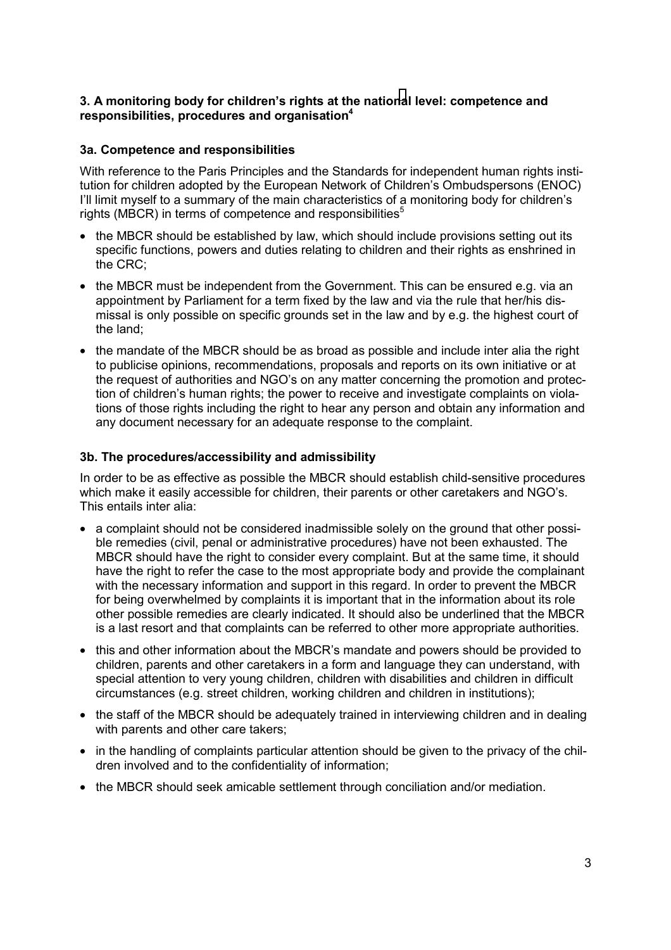## **3. A monitoring body for children's rights at the natio[na](#page-4-0)l level: competence and responsibilities, procedures and organisation4**

## **3a. Competence and responsibilities**

With reference to the Paris Principles and the Standards for independent human rights institution for children adopted by the European Network of Children's Ombudspersons (ENOC) I'll limit myself to a summary of the main characteristics of a monitoring body for children's rights (MBCR) in terms of competence and responsibilities<sup>5</sup>

- the MBCR should be established by law, which should include provisions setting out its specific functions, powers and duties relating to children and their rights as enshrined in the CRC;
- the MBCR must be independent from the Government. This can be ensured e.g. via an appointment by Parliament for a term fixed by the law and via the rule that her/his dismissal is only possible on specific grounds set in the law and by e.g. the highest court of the land;
- the mandate of the MBCR should be as broad as possible and include inter alia the right to publicise opinions, recommendations, proposals and reports on its own initiative or at the request of authorities and NGO's on any matter concerning the promotion and protection of children's human rights; the power to receive and investigate complaints on violations of those rights including the right to hear any person and obtain any information and any document necessary for an adequate response to the complaint.

#### **3b. The procedures/accessibility and admissibility**

In order to be as effective as possible the MBCR should establish child-sensitive procedures which make it easily accessible for children, their parents or other caretakers and NGO's. This entails inter alia:

- a complaint should not be considered inadmissible solely on the ground that other possible remedies (civil, penal or administrative procedures) have not been exhausted. The MBCR should have the right to consider every complaint. But at the same time, it should have the right to refer the case to the most appropriate body and provide the complainant with the necessary information and support in this regard. In order to prevent the MBCR for being overwhelmed by complaints it is important that in the information about its role other possible remedies are clearly indicated. It should also be underlined that the MBCR is a last resort and that complaints can be referred to other more appropriate authorities.
- this and other information about the MBCR's mandate and powers should be provided to children, parents and other caretakers in a form and language they can understand, with special attention to very young children, children with disabilities and children in difficult circumstances (e.g. street children, working children and children in institutions);
- the staff of the MBCR should be adequately trained in interviewing children and in dealing with parents and other care takers;
- in the handling of complaints particular attention should be given to the privacy of the children involved and to the confidentiality of information;
- the MBCR should seek amicable settlement through conciliation and/or mediation.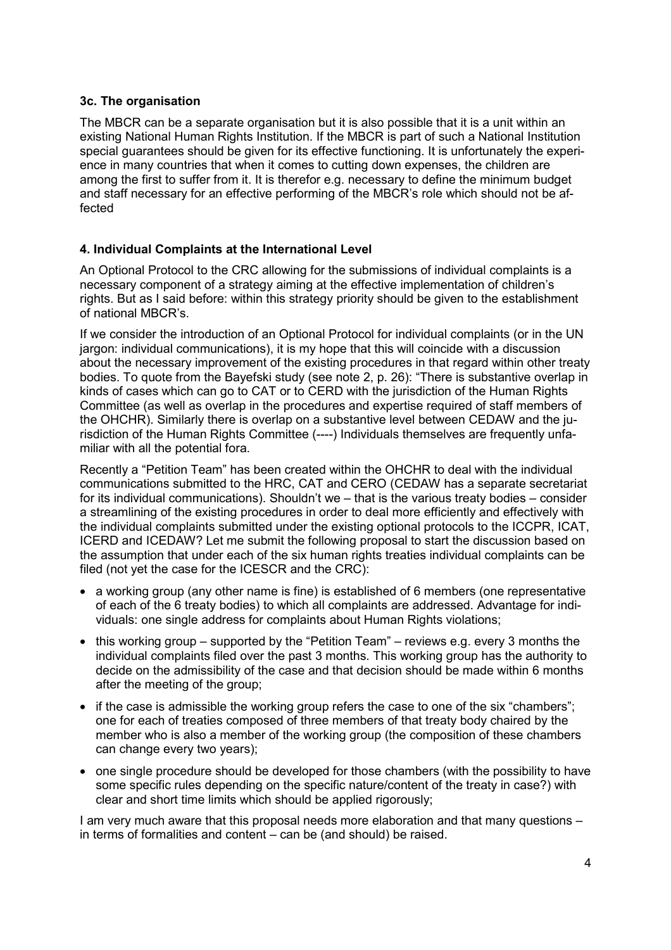# **3c. The organisation**

The MBCR can be a separate organisation but it is also possible that it is a unit within an existing National Human Rights Institution. If the MBCR is part of such a National Institution special guarantees should be given for its effective functioning. It is unfortunately the experience in many countries that when it comes to cutting down expenses, the children are among the first to suffer from it. It is therefor e.g. necessary to define the minimum budget and staff necessary for an effective performing of the MBCR's role which should not be affected

# **4. Individual Complaints at the International Level**

An Optional Protocol to the CRC allowing for the submissions of individual complaints is a necessary component of a strategy aiming at the effective implementation of children's rights. But as I said before: within this strategy priority should be given to the establishment of national MBCR's.

If we consider the introduction of an Optional Protocol for individual complaints (or in the UN jargon: individual communications), it is my hope that this will coincide with a discussion about the necessary improvement of the existing procedures in that regard within other treaty bodies. To quote from the Bayefski study (see note 2, p. 26): "There is substantive overlap in kinds of cases which can go to CAT or to CERD with the jurisdiction of the Human Rights Committee (as well as overlap in the procedures and expertise required of staff members of the OHCHR). Similarly there is overlap on a substantive level between CEDAW and the jurisdiction of the Human Rights Committee (----) Individuals themselves are frequently unfamiliar with all the potential fora.

Recently a "Petition Team" has been created within the OHCHR to deal with the individual communications submitted to the HRC, CAT and CERO (CEDAW has a separate secretariat for its individual communications). Shouldn't we – that is the various treaty bodies – consider a streamlining of the existing procedures in order to deal more efficiently and effectively with the individual complaints submitted under the existing optional protocols to the ICCPR, ICAT, ICERD and ICEDAW? Let me submit the following proposal to start the discussion based on the assumption that under each of the six human rights treaties individual complaints can be filed (not yet the case for the ICESCR and the CRC):

- a working group (any other name is fine) is established of 6 members (one representative of each of the 6 treaty bodies) to which all complaints are addressed. Advantage for individuals: one single address for complaints about Human Rights violations;
- this working group supported by the "Petition Team" reviews e.g. every 3 months the individual complaints filed over the past 3 months. This working group has the authority to decide on the admissibility of the case and that decision should be made within 6 months after the meeting of the group;
- if the case is admissible the working group refers the case to one of the six "chambers"; one for each of treaties composed of three members of that treaty body chaired by the member who is also a member of the working group (the composition of these chambers can change every two years);
- one single procedure should be developed for those chambers (with the possibility to have some specific rules depending on the specific nature/content of the treaty in case?) with clear and short time limits which should be applied rigorously;

I am very much aware that this proposal needs more elaboration and that many questions – in terms of formalities and content – can be (and should) be raised.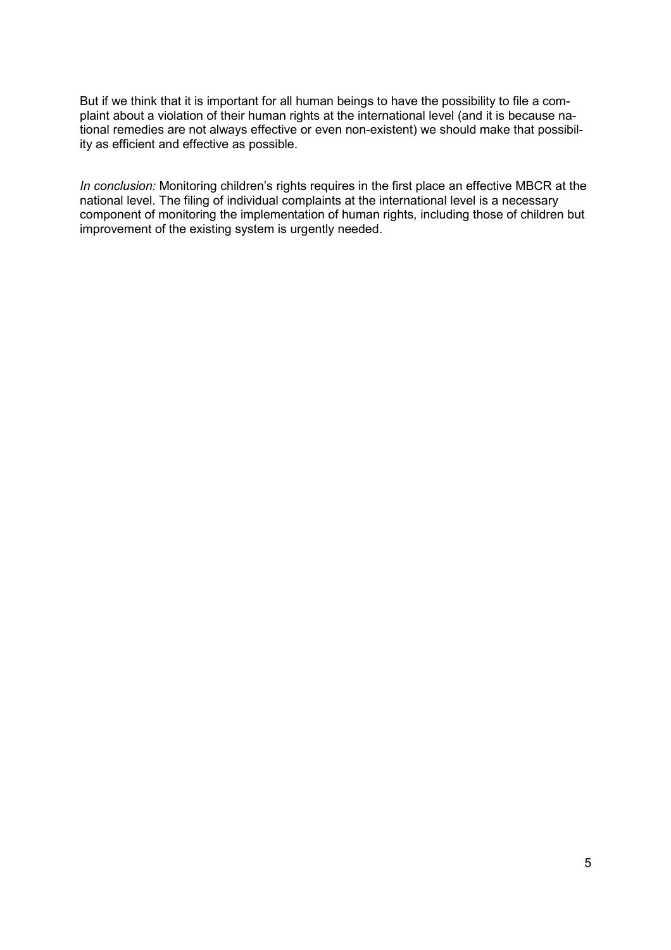<span id="page-4-0"></span>But if we think that it is important for all human beings to have the possibility to file a complaint about a violation of their human rights at the international level (and it is because national remedies are not always effective or even non-existent) we should make that possibility as efficient and effective as possible.

*In conclusion:* Monitoring children's rights requires in the first place an effective MBCR at the national level. The filing of individual complaints at the international level is a necessary component of monitoring the implementation of human rights, including those of children but improvement of the existing system is urgently needed.